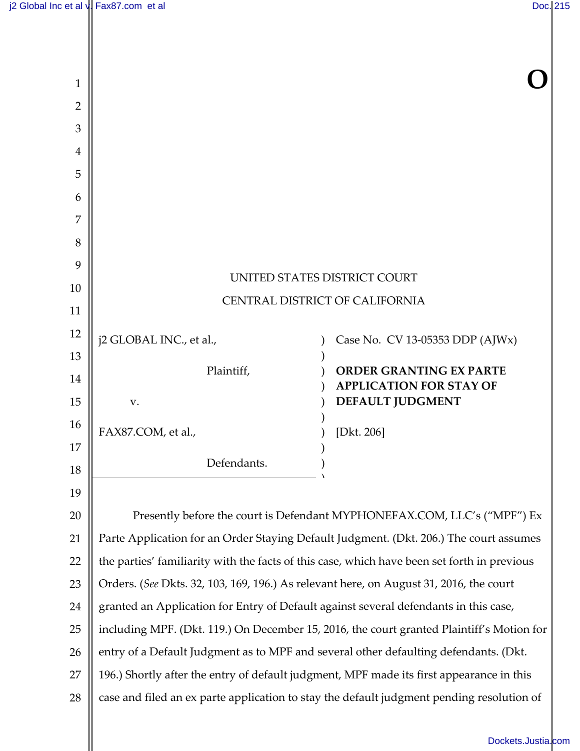| $\mathbf{1}$   |                                                                                             |                                                                                           |
|----------------|---------------------------------------------------------------------------------------------|-------------------------------------------------------------------------------------------|
| $\overline{2}$ |                                                                                             |                                                                                           |
| 3              |                                                                                             |                                                                                           |
| 4              |                                                                                             |                                                                                           |
| 5              |                                                                                             |                                                                                           |
| 6              |                                                                                             |                                                                                           |
| 7              |                                                                                             |                                                                                           |
| 8              |                                                                                             |                                                                                           |
| 9              |                                                                                             | UNITED STATES DISTRICT COURT                                                              |
| 10             | CENTRAL DISTRICT OF CALIFORNIA                                                              |                                                                                           |
| 11             |                                                                                             |                                                                                           |
| 12             | j2 GLOBAL INC., et al.,                                                                     | Case No. CV 13-05353 DDP (AJWx)                                                           |
| 13             | Plaintiff,                                                                                  | <b>ORDER GRANTING EX PARTE</b>                                                            |
| 14             |                                                                                             | <b>APPLICATION FOR STAY OF</b>                                                            |
| 15             | v.                                                                                          | <b>DEFAULT JUDGMENT</b>                                                                   |
| 16             | FAX87.COM, et al.,                                                                          | [ $Dkt. 206$ ]                                                                            |
| 17             | Defendants.                                                                                 |                                                                                           |
| 18             |                                                                                             |                                                                                           |
| 19             |                                                                                             |                                                                                           |
| 20             | Presently before the court is Defendant MYPHONEFAX.COM, LLC's ("MPF") Ex                    |                                                                                           |
| 21             | Parte Application for an Order Staying Default Judgment. (Dkt. 206.) The court assumes      |                                                                                           |
| 22             | the parties' familiarity with the facts of this case, which have been set forth in previous |                                                                                           |
| 23             | Orders. (See Dkts. 32, 103, 169, 196.) As relevant here, on August 31, 2016, the court      |                                                                                           |
| 24             | granted an Application for Entry of Default against several defendants in this case,        |                                                                                           |
| 25             |                                                                                             | including MPF. (Dkt. 119.) On December 15, 2016, the court granted Plaintiff's Motion for |
| 26             | entry of a Default Judgment as to MPF and several other defaulting defendants. (Dkt.        |                                                                                           |
| 27             | 196.) Shortly after the entry of default judgment, MPF made its first appearance in this    |                                                                                           |
| 28             |                                                                                             | case and filed an ex parte application to stay the default judgment pending resolution of |
|                |                                                                                             | Dockets.Justia.                                                                           |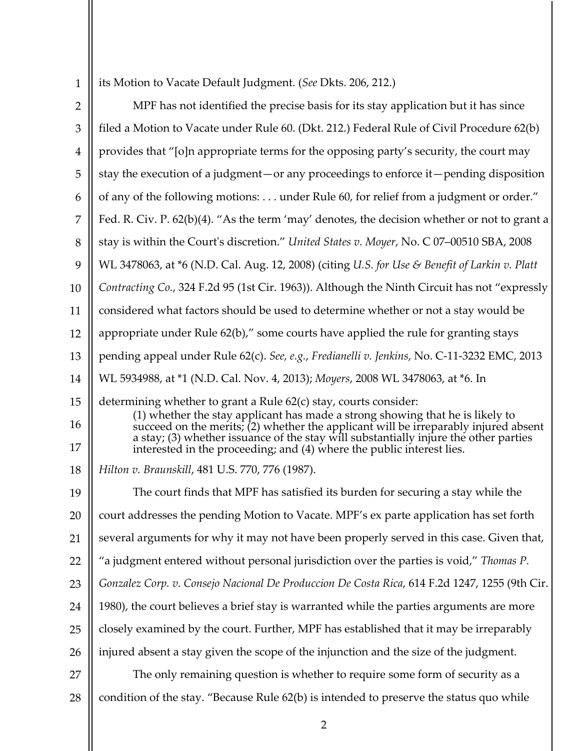| 1   its Motion to Vacate Default Judgment. (See Dkts. 206, 212.) |
|------------------------------------------------------------------|
|                                                                  |

| $\overline{2}$ | MPF has not identified the precise basis for its stay application but it has since                                                                                                                                                                                                                                                 |
|----------------|------------------------------------------------------------------------------------------------------------------------------------------------------------------------------------------------------------------------------------------------------------------------------------------------------------------------------------|
| 3              | filed a Motion to Vacate under Rule 60. (Dkt. 212.) Federal Rule of Civil Procedure 62(b)                                                                                                                                                                                                                                          |
| $\overline{4}$ | provides that "[o]n appropriate terms for the opposing party's security, the court may                                                                                                                                                                                                                                             |
| 5              | stay the execution of a judgment-or any proceedings to enforce it-pending disposition                                                                                                                                                                                                                                              |
| 6              | of any of the following motions: under Rule 60, for relief from a judgment or order."                                                                                                                                                                                                                                              |
| 7              | Fed. R. Civ. P. 62(b)(4). "As the term 'may' denotes, the decision whether or not to grant a                                                                                                                                                                                                                                       |
| 8              | stay is within the Court's discretion." United States v. Moyer, No. C 07-00510 SBA, 2008                                                                                                                                                                                                                                           |
| 9              | WL 3478063, at *6 (N.D. Cal. Aug. 12, 2008) (citing U.S. for Use & Benefit of Larkin v. Platt                                                                                                                                                                                                                                      |
| 10             | Contracting Co., 324 F.2d 95 (1st Cir. 1963)). Although the Ninth Circuit has not "expressly                                                                                                                                                                                                                                       |
| 11             | considered what factors should be used to determine whether or not a stay would be                                                                                                                                                                                                                                                 |
| 12             | appropriate under Rule 62(b)," some courts have applied the rule for granting stays                                                                                                                                                                                                                                                |
| 13             | pending appeal under Rule 62(c). See, e.g., Fredianelli v. Jenkins, No. C-11-3232 EMC, 2013                                                                                                                                                                                                                                        |
| 14             | WL 5934988, at *1 (N.D. Cal. Nov. 4, 2013); Moyers, 2008 WL 3478063, at *6. In                                                                                                                                                                                                                                                     |
| 15<br>16       | determining whether to grant a Rule 62(c) stay, courts consider:<br>(1) whether the stay applicant has made a strong showing that he is likely to<br>succeed on the merits; $(2)$ whether the applicant will be irreparably injured absent<br>a stay; (3) whether issuance of the stay will substantially injure the other parties |
| 17             | interested in the proceeding; and (4) where the public interest lies.                                                                                                                                                                                                                                                              |
| 18             | Hilton v. Braunskill, 481 U.S. 770, 776 (1987).                                                                                                                                                                                                                                                                                    |
| 19             | The court finds that MPF has satisfied its burden for securing a stay while the                                                                                                                                                                                                                                                    |
| 20             | court addresses the pending Motion to Vacate. MPF's ex parte application has set forth                                                                                                                                                                                                                                             |
| 21             | several arguments for why it may not have been properly served in this case. Given that,                                                                                                                                                                                                                                           |
| 22             | "a judgment entered without personal jurisdiction over the parties is void," Thomas P.                                                                                                                                                                                                                                             |
| 23             | Gonzalez Corp. v. Consejo Nacional De Produccion De Costa Rica, 614 F.2d 1247, 1255 (9th Cir.                                                                                                                                                                                                                                      |
| 24             | 1980), the court believes a brief stay is warranted while the parties arguments are more                                                                                                                                                                                                                                           |
| 25             | closely examined by the court. Further, MPF has established that it may be irreparably                                                                                                                                                                                                                                             |
| 26             | injured absent a stay given the scope of the injunction and the size of the judgment.                                                                                                                                                                                                                                              |
| 27             | The only remaining question is whether to require some form of security as a                                                                                                                                                                                                                                                       |
| 28             | condition of the stay. "Because Rule 62(b) is intended to preserve the status quo while                                                                                                                                                                                                                                            |